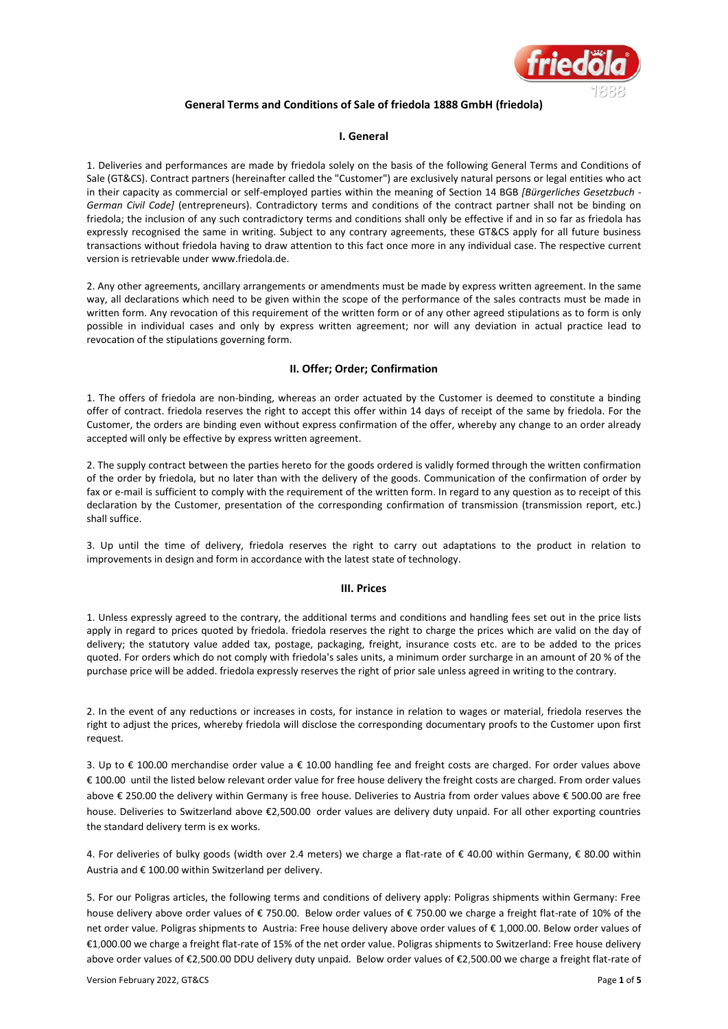

# **General Terms and Conditions of Sale of friedola 1888 GmbH (friedola)**

### **I. General**

1. Deliveries and performances are made by friedola solely on the basis of the following General Terms and Conditions of Sale (GT&CS). Contract partners (hereinafter called the "Customer") are exclusively natural persons or legal entities who act in their capacity as commercial or self-employed parties within the meaning of Section 14 BGB *[Bürgerliches Gesetzbuch - German Civil Code]* (entrepreneurs). Contradictory terms and conditions of the contract partner shall not be binding on friedola; the inclusion of any such contradictory terms and conditions shall only be effective if and in so far as friedola has expressly recognised the same in writing. Subject to any contrary agreements, these GT&CS apply for all future business transactions without friedola having to draw attention to this fact once more in any individual case. The respective current version is retrievable under www.friedola.de.

2. Any other agreements, ancillary arrangements or amendments must be made by express written agreement. In the same way, all declarations which need to be given within the scope of the performance of the sales contracts must be made in written form. Any revocation of this requirement of the written form or of any other agreed stipulations as to form is only possible in individual cases and only by express written agreement; nor will any deviation in actual practice lead to revocation of the stipulations governing form.

## **II. Offer; Order; Confirmation**

1. The offers of friedola are non-binding, whereas an order actuated by the Customer is deemed to constitute a binding offer of contract. friedola reserves the right to accept this offer within 14 days of receipt of the same by friedola. For the Customer, the orders are binding even without express confirmation of the offer, whereby any change to an order already accepted will only be effective by express written agreement.

2. The supply contract between the parties hereto for the goods ordered is validly formed through the written confirmation of the order by friedola, but no later than with the delivery of the goods. Communication of the confirmation of order by fax or e-mail is sufficient to comply with the requirement of the written form. In regard to any question as to receipt of this declaration by the Customer, presentation of the corresponding confirmation of transmission (transmission report, etc.) shall suffice.

3. Up until the time of delivery, friedola reserves the right to carry out adaptations to the product in relation to improvements in design and form in accordance with the latest state of technology.

# **III. Prices**

1. Unless expressly agreed to the contrary, the additional terms and conditions and handling fees set out in the price lists apply in regard to prices quoted by friedola. friedola reserves the right to charge the prices which are valid on the day of delivery; the statutory value added tax, postage, packaging, freight, insurance costs etc. are to be added to the prices quoted. For orders which do not comply with friedola's sales units, a minimum order surcharge in an amount of 20 % of the purchase price will be added. friedola expressly reserves the right of prior sale unless agreed in writing to the contrary.

2. In the event of any reductions or increases in costs, for instance in relation to wages or material, friedola reserves the right to adjust the prices, whereby friedola will disclose the corresponding documentary proofs to the Customer upon first request.

3. Up to € 100.00 merchandise order value a € 10.00 handling fee and freight costs are charged. For order values above € 100.00 until the listed below relevant order value for free house delivery the freight costs are charged. From order values above € 250.00 the delivery within Germany is free house. Deliveries to Austria from order values above € 500.00 are free house. Deliveries to Switzerland above €2,500.00 order values are delivery duty unpaid. For all other exporting countries the standard delivery term is ex works.

4. For deliveries of bulky goods (width over 2.4 meters) we charge a flat-rate of € 40.00 within Germany, € 80.00 within Austria and € 100.00 within Switzerland per delivery.

5. For our Poligras articles, the following terms and conditions of delivery apply: Poligras shipments within Germany: Free house delivery above order values of € 750.00. Below order values of € 750.00 we charge a freight flat-rate of 10% of the net order value. Poligras shipments to Austria: Free house delivery above order values of € 1,000.00. Below order values of €1,000.00 we charge a freight flat-rate of 15% of the net order value. Poligras shipments to Switzerland: Free house delivery above order values of €2,500.00 DDU delivery duty unpaid. Below order values of €2,500.00 we charge a freight flat-rate of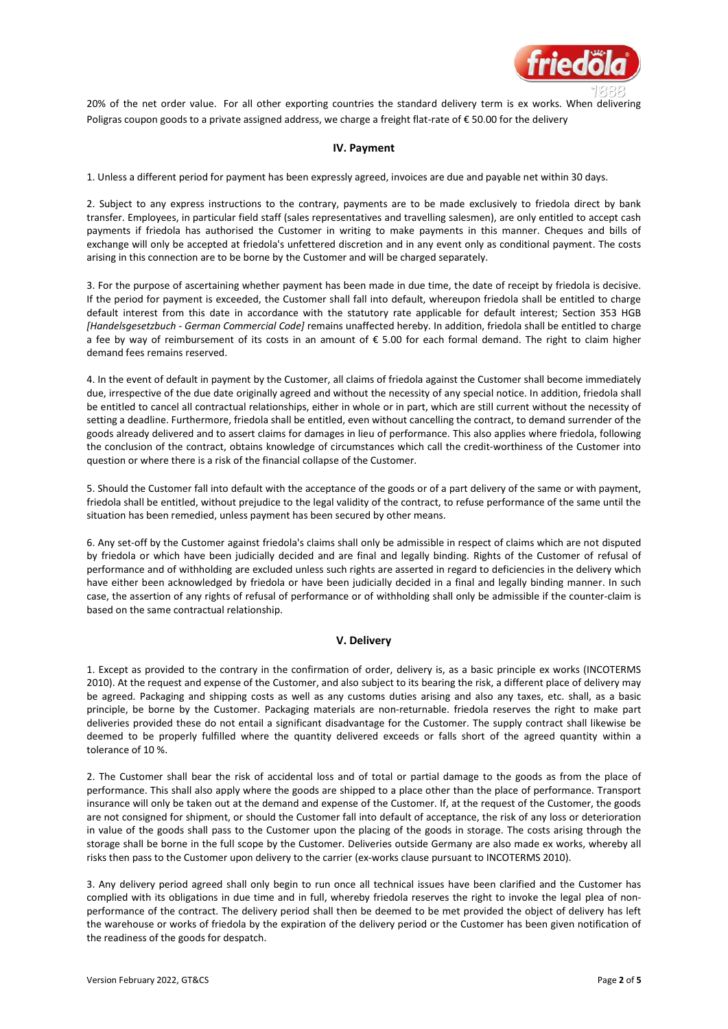

20% of the net order value. For all other exporting countries the standard delivery term is ex works. When delivering Poligras coupon goods to a private assigned address, we charge a freight flat-rate of € 50.00 for the delivery

#### **IV. Payment**

1. Unless a different period for payment has been expressly agreed, invoices are due and payable net within 30 days.

2. Subject to any express instructions to the contrary, payments are to be made exclusively to friedola direct by bank transfer. Employees, in particular field staff (sales representatives and travelling salesmen), are only entitled to accept cash payments if friedola has authorised the Customer in writing to make payments in this manner. Cheques and bills of exchange will only be accepted at friedola's unfettered discretion and in any event only as conditional payment. The costs arising in this connection are to be borne by the Customer and will be charged separately.

3. For the purpose of ascertaining whether payment has been made in due time, the date of receipt by friedola is decisive. If the period for payment is exceeded, the Customer shall fall into default, whereupon friedola shall be entitled to charge default interest from this date in accordance with the statutory rate applicable for default interest; Section 353 HGB *[Handelsgesetzbuch - German Commercial Code]* remains unaffected hereby. In addition, friedola shall be entitled to charge a fee by way of reimbursement of its costs in an amount of € 5.00 for each formal demand. The right to claim higher demand fees remains reserved.

4. In the event of default in payment by the Customer, all claims of friedola against the Customer shall become immediately due, irrespective of the due date originally agreed and without the necessity of any special notice. In addition, friedola shall be entitled to cancel all contractual relationships, either in whole or in part, which are still current without the necessity of setting a deadline. Furthermore, friedola shall be entitled, even without cancelling the contract, to demand surrender of the goods already delivered and to assert claims for damages in lieu of performance. This also applies where friedola, following the conclusion of the contract, obtains knowledge of circumstances which call the credit-worthiness of the Customer into question or where there is a risk of the financial collapse of the Customer.

5. Should the Customer fall into default with the acceptance of the goods or of a part delivery of the same or with payment, friedola shall be entitled, without prejudice to the legal validity of the contract, to refuse performance of the same until the situation has been remedied, unless payment has been secured by other means.

6. Any set-off by the Customer against friedola's claims shall only be admissible in respect of claims which are not disputed by friedola or which have been judicially decided and are final and legally binding. Rights of the Customer of refusal of performance and of withholding are excluded unless such rights are asserted in regard to deficiencies in the delivery which have either been acknowledged by friedola or have been judicially decided in a final and legally binding manner. In such case, the assertion of any rights of refusal of performance or of withholding shall only be admissible if the counter-claim is based on the same contractual relationship.

# **V. Delivery**

1. Except as provided to the contrary in the confirmation of order, delivery is, as a basic principle ex works (INCOTERMS 2010). At the request and expense of the Customer, and also subject to its bearing the risk, a different place of delivery may be agreed. Packaging and shipping costs as well as any customs duties arising and also any taxes, etc. shall, as a basic principle, be borne by the Customer. Packaging materials are non-returnable. friedola reserves the right to make part deliveries provided these do not entail a significant disadvantage for the Customer. The supply contract shall likewise be deemed to be properly fulfilled where the quantity delivered exceeds or falls short of the agreed quantity within a tolerance of 10 %.

2. The Customer shall bear the risk of accidental loss and of total or partial damage to the goods as from the place of performance. This shall also apply where the goods are shipped to a place other than the place of performance. Transport insurance will only be taken out at the demand and expense of the Customer. If, at the request of the Customer, the goods are not consigned for shipment, or should the Customer fall into default of acceptance, the risk of any loss or deterioration in value of the goods shall pass to the Customer upon the placing of the goods in storage. The costs arising through the storage shall be borne in the full scope by the Customer. Deliveries outside Germany are also made ex works, whereby all risks then pass to the Customer upon delivery to the carrier (ex-works clause pursuant to INCOTERMS 2010).

3. Any delivery period agreed shall only begin to run once all technical issues have been clarified and the Customer has complied with its obligations in due time and in full, whereby friedola reserves the right to invoke the legal plea of nonperformance of the contract. The delivery period shall then be deemed to be met provided the object of delivery has left the warehouse or works of friedola by the expiration of the delivery period or the Customer has been given notification of the readiness of the goods for despatch.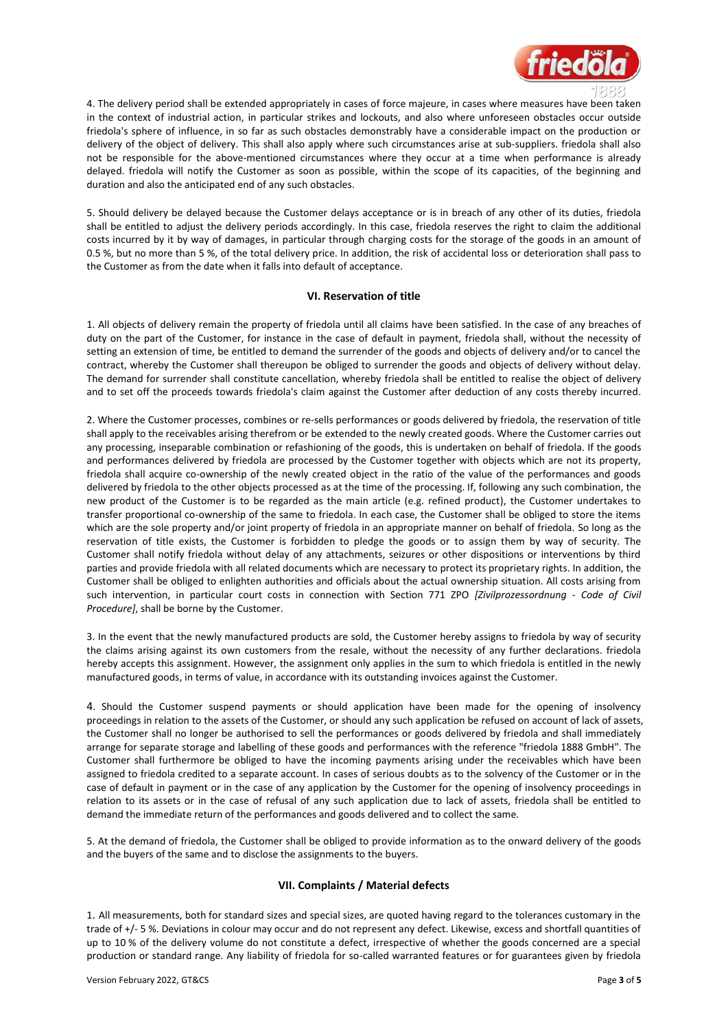

4. The delivery period shall be extended appropriately in cases of force majeure, in cases where measures have been taken in the context of industrial action, in particular strikes and lockouts, and also where unforeseen obstacles occur outside friedola's sphere of influence, in so far as such obstacles demonstrably have a considerable impact on the production or delivery of the object of delivery. This shall also apply where such circumstances arise at sub-suppliers. friedola shall also not be responsible for the above-mentioned circumstances where they occur at a time when performance is already delayed. friedola will notify the Customer as soon as possible, within the scope of its capacities, of the beginning and duration and also the anticipated end of any such obstacles.

5. Should delivery be delayed because the Customer delays acceptance or is in breach of any other of its duties, friedola shall be entitled to adjust the delivery periods accordingly. In this case, friedola reserves the right to claim the additional costs incurred by it by way of damages, in particular through charging costs for the storage of the goods in an amount of 0.5 %, but no more than 5 %, of the total delivery price. In addition, the risk of accidental loss or deterioration shall pass to the Customer as from the date when it falls into default of acceptance.

## **VI. Reservation of title**

1. All objects of delivery remain the property of friedola until all claims have been satisfied. In the case of any breaches of duty on the part of the Customer, for instance in the case of default in payment, friedola shall, without the necessity of setting an extension of time, be entitled to demand the surrender of the goods and objects of delivery and/or to cancel the contract, whereby the Customer shall thereupon be obliged to surrender the goods and objects of delivery without delay. The demand for surrender shall constitute cancellation, whereby friedola shall be entitled to realise the object of delivery and to set off the proceeds towards friedola's claim against the Customer after deduction of any costs thereby incurred.

2. Where the Customer processes, combines or re-sells performances or goods delivered by friedola, the reservation of title shall apply to the receivables arising therefrom or be extended to the newly created goods. Where the Customer carries out any processing, inseparable combination or refashioning of the goods, this is undertaken on behalf of friedola. If the goods and performances delivered by friedola are processed by the Customer together with objects which are not its property, friedola shall acquire co-ownership of the newly created object in the ratio of the value of the performances and goods delivered by friedola to the other objects processed as at the time of the processing. If, following any such combination, the new product of the Customer is to be regarded as the main article (e.g. refined product), the Customer undertakes to transfer proportional co-ownership of the same to friedola. In each case, the Customer shall be obliged to store the items which are the sole property and/or joint property of friedola in an appropriate manner on behalf of friedola. So long as the reservation of title exists, the Customer is forbidden to pledge the goods or to assign them by way of security. The Customer shall notify friedola without delay of any attachments, seizures or other dispositions or interventions by third parties and provide friedola with all related documents which are necessary to protect its proprietary rights. In addition, the Customer shall be obliged to enlighten authorities and officials about the actual ownership situation. All costs arising from such intervention, in particular court costs in connection with Section 771 ZPO *[Zivilprozessordnung - Code of Civil Procedure]*, shall be borne by the Customer.

3. In the event that the newly manufactured products are sold, the Customer hereby assigns to friedola by way of security the claims arising against its own customers from the resale, without the necessity of any further declarations. friedola hereby accepts this assignment. However, the assignment only applies in the sum to which friedola is entitled in the newly manufactured goods, in terms of value, in accordance with its outstanding invoices against the Customer.

4. Should the Customer suspend payments or should application have been made for the opening of insolvency proceedings in relation to the assets of the Customer, or should any such application be refused on account of lack of assets, the Customer shall no longer be authorised to sell the performances or goods delivered by friedola and shall immediately arrange for separate storage and labelling of these goods and performances with the reference "friedola 1888 GmbH". The Customer shall furthermore be obliged to have the incoming payments arising under the receivables which have been assigned to friedola credited to a separate account. In cases of serious doubts as to the solvency of the Customer or in the case of default in payment or in the case of any application by the Customer for the opening of insolvency proceedings in relation to its assets or in the case of refusal of any such application due to lack of assets, friedola shall be entitled to demand the immediate return of the performances and goods delivered and to collect the same.

5. At the demand of friedola, the Customer shall be obliged to provide information as to the onward delivery of the goods and the buyers of the same and to disclose the assignments to the buyers.

#### **VII. Complaints / Material defects**

1. All measurements, both for standard sizes and special sizes, are quoted having regard to the tolerances customary in the trade of +/- 5 %. Deviations in colour may occur and do not represent any defect. Likewise, excess and shortfall quantities of up to 10 % of the delivery volume do not constitute a defect, irrespective of whether the goods concerned are a special production or standard range. Any liability of friedola for so-called warranted features or for guarantees given by friedola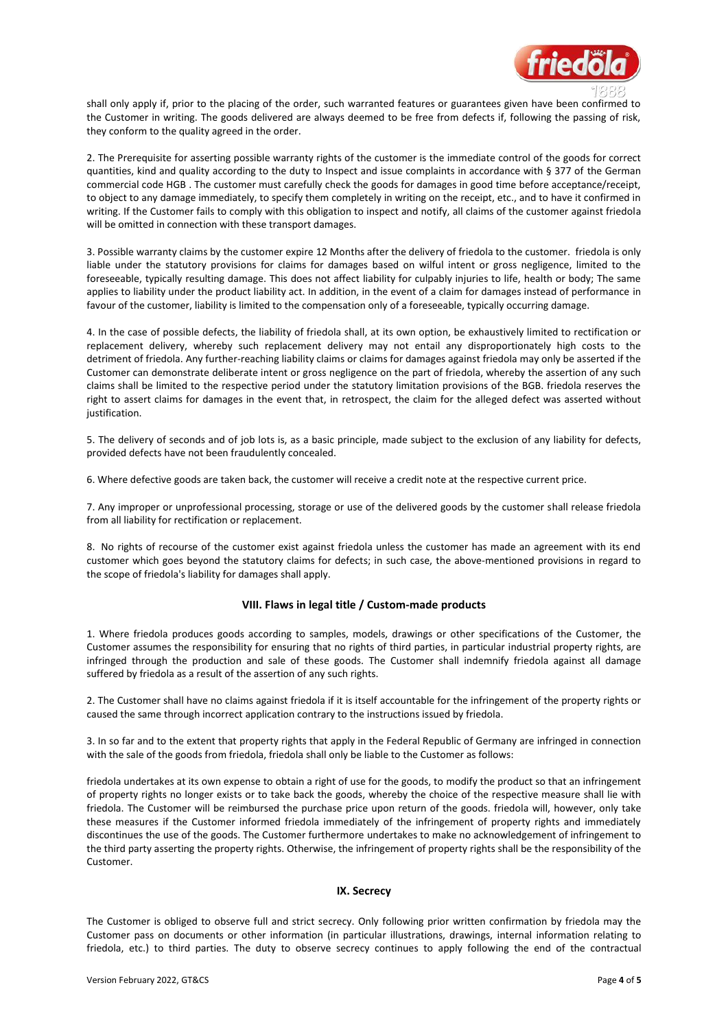

shall only apply if, prior to the placing of the order, such warranted features or guarantees given have been confirmed to the Customer in writing. The goods delivered are always deemed to be free from defects if, following the passing of risk, they conform to the quality agreed in the order.

2. The Prerequisite for asserting possible warranty rights of the customer is the immediate control of the goods for correct quantities, kind and quality according to the duty to Inspect and issue complaints in accordance with § 377 of the German commercial code HGB . The customer must carefully check the goods for damages in good time before acceptance/receipt, to object to any damage immediately, to specify them completely in writing on the receipt, etc., and to have it confirmed in writing. If the Customer fails to comply with this obligation to inspect and notify, all claims of the customer against friedola will be omitted in connection with these transport damages.

3. Possible warranty claims by the customer expire 12 Months after the delivery of friedola to the customer. friedola is only liable under the statutory provisions for claims for damages based on wilful intent or gross negligence, limited to the foreseeable, typically resulting damage. This does not affect liability for culpably injuries to life, health or body; The same applies to liability under the product liability act. In addition, in the event of a claim for damages instead of performance in favour of the customer, liability is limited to the compensation only of a foreseeable, typically occurring damage.

4. In the case of possible defects, the liability of friedola shall, at its own option, be exhaustively limited to rectification or replacement delivery, whereby such replacement delivery may not entail any disproportionately high costs to the detriment of friedola. Any further-reaching liability claims or claims for damages against friedola may only be asserted if the Customer can demonstrate deliberate intent or gross negligence on the part of friedola, whereby the assertion of any such claims shall be limited to the respective period under the statutory limitation provisions of the BGB. friedola reserves the right to assert claims for damages in the event that, in retrospect, the claim for the alleged defect was asserted without justification.

5. The delivery of seconds and of job lots is, as a basic principle, made subject to the exclusion of any liability for defects, provided defects have not been fraudulently concealed.

6. Where defective goods are taken back, the customer will receive a credit note at the respective current price.

7. Any improper or unprofessional processing, storage or use of the delivered goods by the customer shall release friedola from all liability for rectification or replacement.

8. No rights of recourse of the customer exist against friedola unless the customer has made an agreement with its end customer which goes beyond the statutory claims for defects; in such case, the above-mentioned provisions in regard to the scope of friedola's liability for damages shall apply.

#### **VIII. Flaws in legal title / Custom-made products**

1. Where friedola produces goods according to samples, models, drawings or other specifications of the Customer, the Customer assumes the responsibility for ensuring that no rights of third parties, in particular industrial property rights, are infringed through the production and sale of these goods. The Customer shall indemnify friedola against all damage suffered by friedola as a result of the assertion of any such rights.

2. The Customer shall have no claims against friedola if it is itself accountable for the infringement of the property rights or caused the same through incorrect application contrary to the instructions issued by friedola.

3. In so far and to the extent that property rights that apply in the Federal Republic of Germany are infringed in connection with the sale of the goods from friedola, friedola shall only be liable to the Customer as follows:

friedola undertakes at its own expense to obtain a right of use for the goods, to modify the product so that an infringement of property rights no longer exists or to take back the goods, whereby the choice of the respective measure shall lie with friedola. The Customer will be reimbursed the purchase price upon return of the goods. friedola will, however, only take these measures if the Customer informed friedola immediately of the infringement of property rights and immediately discontinues the use of the goods. The Customer furthermore undertakes to make no acknowledgement of infringement to the third party asserting the property rights. Otherwise, the infringement of property rights shall be the responsibility of the Customer.

### **IX. Secrecy**

The Customer is obliged to observe full and strict secrecy. Only following prior written confirmation by friedola may the Customer pass on documents or other information (in particular illustrations, drawings, internal information relating to friedola, etc.) to third parties. The duty to observe secrecy continues to apply following the end of the contractual